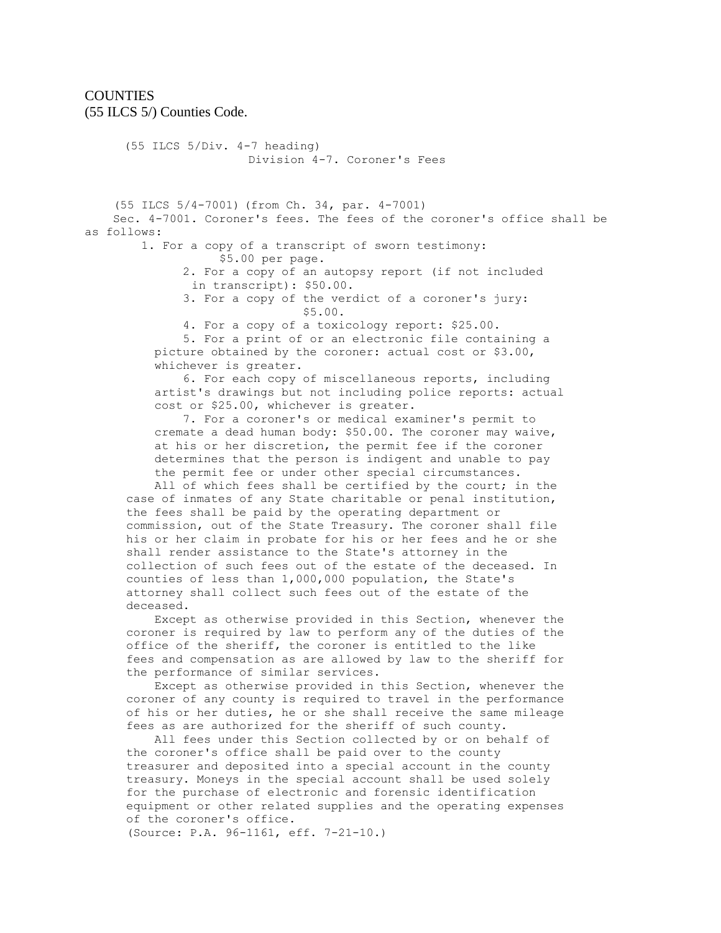## **COUNTIES** (55 ILCS 5/) Counties Code.

 (55 ILCS 5/Div. 4-7 heading) Division 4-7. Coroner's Fees (55 ILCS 5/4-7001) (from Ch. 34, par. 4-7001) Sec. 4-7001. Coroner's fees. The fees of the coroner's office shall be as follows: 1. For a copy of a transcript of sworn testimony: \$5.00 per page. 2. For a copy of an autopsy report (if not included in transcript): \$50.00. 3. For a copy of the verdict of a coroner's jury: \$5.00. 4. For a copy of a toxicology report: \$25.00. 5. For a print of or an electronic file containing a picture obtained by the coroner: actual cost or \$3.00, whichever is greater. 6. For each copy of miscellaneous reports, including artist's drawings but not including police reports: actual cost or \$25.00, whichever is greater. 7. For a coroner's or medical examiner's permit to cremate a dead human body: \$50.00. The coroner may waive, at his or her discretion, the permit fee if the coroner determines that the person is indigent and unable to pay the permit fee or under other special circumstances. All of which fees shall be certified by the court; in the case of inmates of any State charitable or penal institution, the fees shall be paid by the operating department or commission, out of the State Treasury. The coroner shall file his or her claim in probate for his or her fees and he or she

shall render assistance to the State's attorney in the collection of such fees out of the estate of the deceased. In counties of less than 1,000,000 population, the State's attorney shall collect such fees out of the estate of the deceased.

 Except as otherwise provided in this Section, whenever the coroner is required by law to perform any of the duties of the office of the sheriff, the coroner is entitled to the like fees and compensation as are allowed by law to the sheriff for the performance of similar services.

 Except as otherwise provided in this Section, whenever the coroner of any county is required to travel in the performance of his or her duties, he or she shall receive the same mileage fees as are authorized for the sheriff of such county.

 All fees under this Section collected by or on behalf of the coroner's office shall be paid over to the county treasurer and deposited into a special account in the county treasury. Moneys in the special account shall be used solely for the purchase of electronic and forensic identification equipment or other related supplies and the operating expenses of the coroner's office.

(Source: P.A. 96-1161, eff. 7-21-10.)